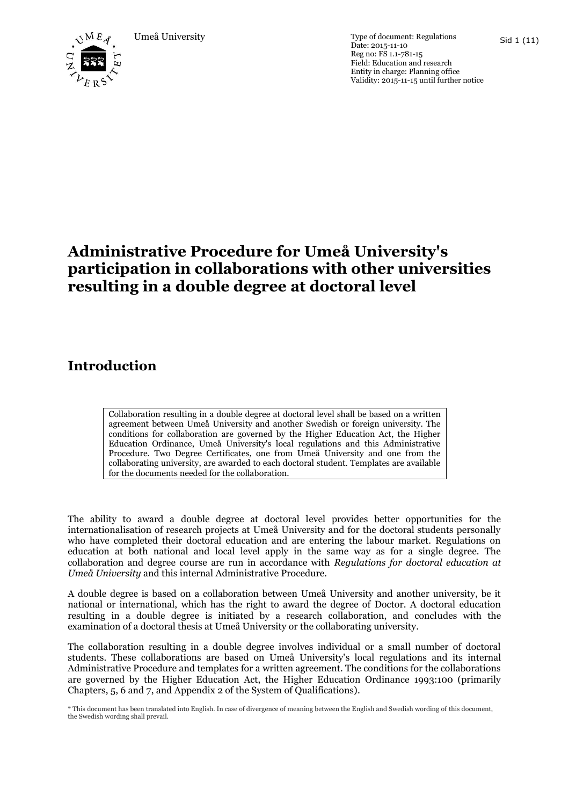

Umeå University Type of document: Regulations Date: 2015-11-10 Reg no: FS 1.1-781-15 Field: Education and research Entity in charge: Planning office Validity: 2015-11-15 until further notice

# **Administrative Procedure for Umeå University's participation in collaborations with other universities resulting in a double degree at doctoral level**

# **Introduction**

Collaboration resulting in a double degree at doctoral level shall be based on a written agreement between Umeå University and another Swedish or foreign university. The conditions for collaboration are governed by the Higher Education Act, the Higher Education Ordinance, Umeå University's local regulations and this Administrative Procedure. Two Degree Certificates, one from Umeå University and one from the collaborating university, are awarded to each doctoral student. Templates are available for the documents needed for the collaboration.

The ability to award a double degree at doctoral level provides better opportunities for the internationalisation of research projects at Umeå University and for the doctoral students personally who have completed their doctoral education and are entering the labour market. Regulations on education at both national and local level apply in the same way as for a single degree. The collaboration and degree course are run in accordance with *Regulations for doctoral education at Umeå University* and this internal Administrative Procedure.

A double degree is based on a collaboration between Umeå University and another university, be it national or international, which has the right to award the degree of Doctor. A doctoral education resulting in a double degree is initiated by a research collaboration, and concludes with the examination of a doctoral thesis at Umeå University or the collaborating university.

The collaboration resulting in a double degree involves individual or a small number of doctoral students. These collaborations are based on Umeå University's local regulations and its internal Administrative Procedure and templates for a written agreement. The conditions for the collaborations are governed by the Higher Education Act, the Higher Education Ordinance 1993:100 (primarily Chapters, 5, 6 and 7, and Appendix 2 of the System of Qualifications).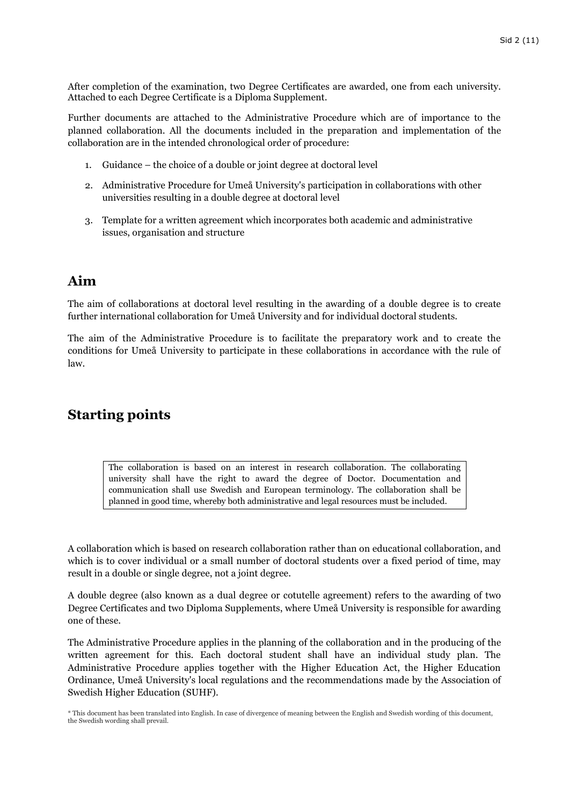After completion of the examination, two Degree Certificates are awarded, one from each university. Attached to each Degree Certificate is a Diploma Supplement.

Further documents are attached to the Administrative Procedure which are of importance to the planned collaboration. All the documents included in the preparation and implementation of the collaboration are in the intended chronological order of procedure:

- 1. Guidance the choice of a double or joint degree at doctoral level
- 2. Administrative Procedure for Umeå University's participation in collaborations with other universities resulting in a double degree at doctoral level
- 3. Template for a written agreement which incorporates both academic and administrative issues, organisation and structure

## **Aim**

The aim of collaborations at doctoral level resulting in the awarding of a double degree is to create further international collaboration for Umeå University and for individual doctoral students.

The aim of the Administrative Procedure is to facilitate the preparatory work and to create the conditions for Umeå University to participate in these collaborations in accordance with the rule of law.

# **Starting points**

The collaboration is based on an interest in research collaboration. The collaborating university shall have the right to award the degree of Doctor. Documentation and communication shall use Swedish and European terminology. The collaboration shall be planned in good time, whereby both administrative and legal resources must be included.

A collaboration which is based on research collaboration rather than on educational collaboration, and which is to cover individual or a small number of doctoral students over a fixed period of time, may result in a double or single degree, not a joint degree.

A double degree (also known as a dual degree or cotutelle agreement) refers to the awarding of two Degree Certificates and two Diploma Supplements, where Umeå University is responsible for awarding one of these.

The Administrative Procedure applies in the planning of the collaboration and in the producing of the written agreement for this. Each doctoral student shall have an individual study plan. The Administrative Procedure applies together with the Higher Education Act, the Higher Education Ordinance, Umeå University's local regulations and the recommendations made by the Association of Swedish Higher Education (SUHF).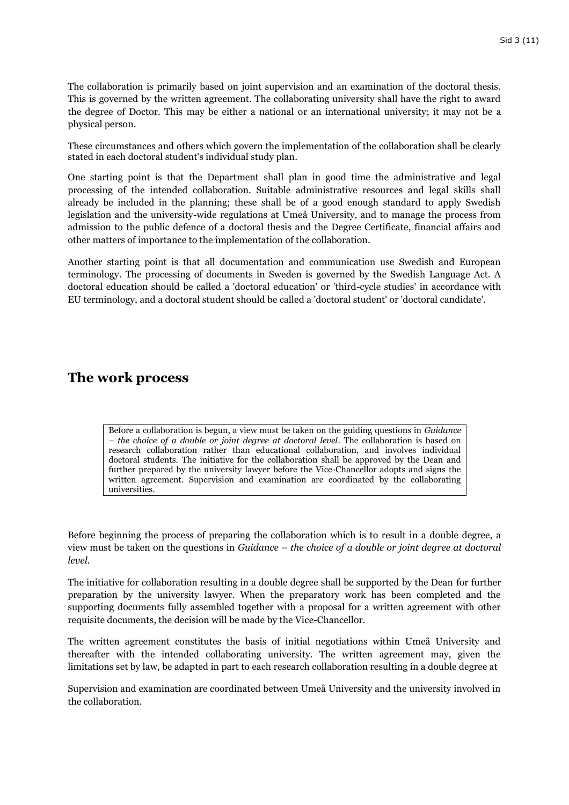The collaboration is primarily based on joint supervision and an examination of the doctoral thesis. This is governed by the written agreement. The collaborating university shall have the right to award the degree of Doctor. This may be either a national or an international university; it may not be a physical person.

These circumstances and others which govern the implementation of the collaboration shall be clearly stated in each doctoral student's individual study plan.

One starting point is that the Department shall plan in good time the administrative and legal processing of the intended collaboration. Suitable administrative resources and legal skills shall already be included in the planning; these shall be of a good enough standard to apply Swedish legislation and the university-wide regulations at Umeå University, and to manage the process from admission to the public defence of a doctoral thesis and the Degree Certificate, financial affairs and other matters of importance to the implementation of the collaboration.

Another starting point is that all documentation and communication use Swedish and European terminology. The processing of documents in Sweden is governed by the Swedish Language Act. A doctoral education should be called a 'doctoral education' or 'third-cycle studies' in accordance with EU terminology, and a doctoral student should be called a 'doctoral student' or 'doctoral candidate'.

## **The work process**

Before a collaboration is begun, a view must be taken on the guiding questions in *Guidance – the choice of a double or joint degree at doctoral level*. The collaboration is based on research collaboration rather than educational collaboration, and involves individual doctoral students. The initiative for the collaboration shall be approved by the Dean and further prepared by the university lawyer before the Vice-Chancellor adopts and signs the written agreement. Supervision and examination are coordinated by the collaborating universities.

Before beginning the process of preparing the collaboration which is to result in a double degree, a view must be taken on the questions in *Guidance – the choice of a double or joint degree at doctoral level*.

The initiative for collaboration resulting in a double degree shall be supported by the Dean for further preparation by the university lawyer. When the preparatory work has been completed and the supporting documents fully assembled together with a proposal for a written agreement with other requisite documents, the decision will be made by the Vice-Chancellor.

The written agreement constitutes the basis of initial negotiations within Umeå University and thereafter with the intended collaborating university. The written agreement may, given the limitations set by law, be adapted in part to each research collaboration resulting in a double degree at

Supervision and examination are coordinated between Umeå University and the university involved in the collaboration.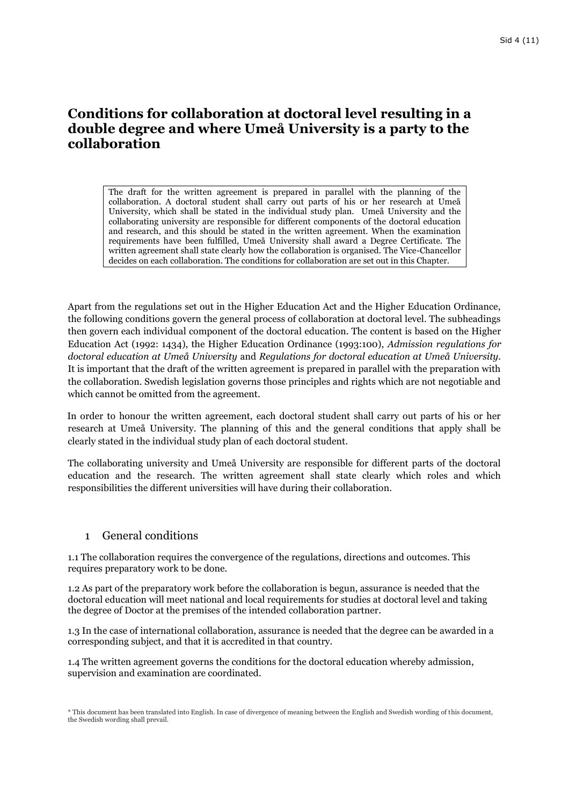# **Conditions for collaboration at doctoral level resulting in a double degree and where Umeå University is a party to the collaboration**

The draft for the written agreement is prepared in parallel with the planning of the collaboration. A doctoral student shall carry out parts of his or her research at Umeå University, which shall be stated in the individual study plan. Umeå University and the collaborating university are responsible for different components of the doctoral education and research, and this should be stated in the written agreement. When the examination requirements have been fulfilled, Umeå University shall award a Degree Certificate. The written agreement shall state clearly how the collaboration is organised. The Vice-Chancellor decides on each collaboration. The conditions for collaboration are set out in this Chapter.

Apart from the regulations set out in the Higher Education Act and the Higher Education Ordinance, the following conditions govern the general process of collaboration at doctoral level. The subheadings then govern each individual component of the doctoral education. The content is based on the Higher Education Act (1992: 1434), the Higher Education Ordinance (1993:100), *Admission regulations for doctoral education at Umeå University* and *Regulations for doctoral education at Umeå University.* It is important that the draft of the written agreement is prepared in parallel with the preparation with the collaboration. Swedish legislation governs those principles and rights which are not negotiable and which cannot be omitted from the agreement.

In order to honour the written agreement, each doctoral student shall carry out parts of his or her research at Umeå University. The planning of this and the general conditions that apply shall be clearly stated in the individual study plan of each doctoral student.

The collaborating university and Umeå University are responsible for different parts of the doctoral education and the research. The written agreement shall state clearly which roles and which responsibilities the different universities will have during their collaboration.

### 1 General conditions

1.1 The collaboration requires the convergence of the regulations, directions and outcomes. This requires preparatory work to be done.

1.2 As part of the preparatory work before the collaboration is begun, assurance is needed that the doctoral education will meet national and local requirements for studies at doctoral level and taking the degree of Doctor at the premises of the intended collaboration partner.

1.3 In the case of international collaboration, assurance is needed that the degree can be awarded in a corresponding subject, and that it is accredited in that country.

1.4 The written agreement governs the conditions for the doctoral education whereby admission, supervision and examination are coordinated.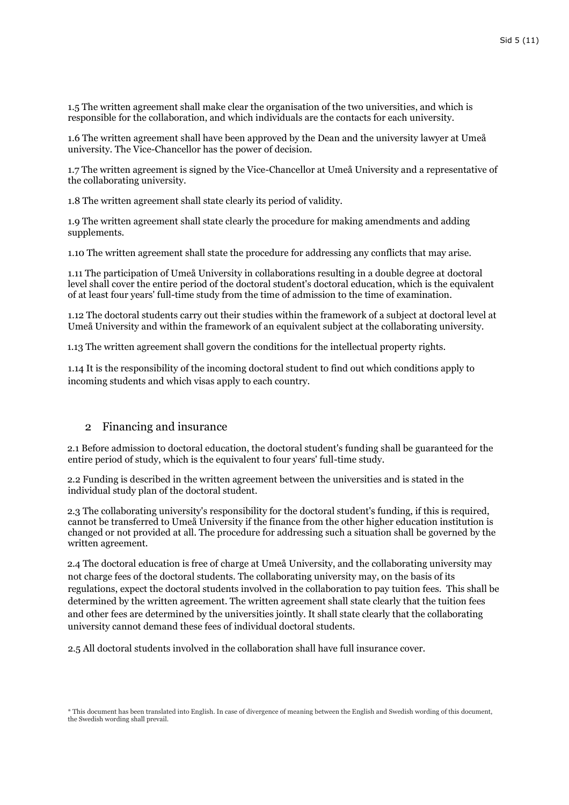1.5 The written agreement shall make clear the organisation of the two universities, and which is responsible for the collaboration, and which individuals are the contacts for each university.

1.6 The written agreement shall have been approved by the Dean and the university lawyer at Umeå university. The Vice-Chancellor has the power of decision.

1.7 The written agreement is signed by the Vice-Chancellor at Umeå University and a representative of the collaborating university.

1.8 The written agreement shall state clearly its period of validity.

1.9 The written agreement shall state clearly the procedure for making amendments and adding supplements.

1.10 The written agreement shall state the procedure for addressing any conflicts that may arise.

1.11 The participation of Umeå University in collaborations resulting in a double degree at doctoral level shall cover the entire period of the doctoral student's doctoral education, which is the equivalent of at least four years' full-time study from the time of admission to the time of examination.

1.12 The doctoral students carry out their studies within the framework of a subject at doctoral level at Umeå University and within the framework of an equivalent subject at the collaborating university.

1.13 The written agreement shall govern the conditions for the intellectual property rights.

1.14 It is the responsibility of the incoming doctoral student to find out which conditions apply to incoming students and which visas apply to each country.

### 2 Financing and insurance

2.1 Before admission to doctoral education, the doctoral student's funding shall be guaranteed for the entire period of study, which is the equivalent to four years' full-time study.

2.2 Funding is described in the written agreement between the universities and is stated in the individual study plan of the doctoral student.

2.3 The collaborating university's responsibility for the doctoral student's funding, if this is required, cannot be transferred to Umeå University if the finance from the other higher education institution is changed or not provided at all. The procedure for addressing such a situation shall be governed by the written agreement.

2.4 The doctoral education is free of charge at Umeå University, and the collaborating university may not charge fees of the doctoral students. The collaborating university may, on the basis of its regulations, expect the doctoral students involved in the collaboration to pay tuition fees. This shall be determined by the written agreement. The written agreement shall state clearly that the tuition fees and other fees are determined by the universities jointly. It shall state clearly that the collaborating university cannot demand these fees of individual doctoral students.

2.5 All doctoral students involved in the collaboration shall have full insurance cover.

<sup>\*</sup> This document has been translated into English. In case of divergence of meaning between the English and Swedish wording of this document, the Swedish wording shall prevail.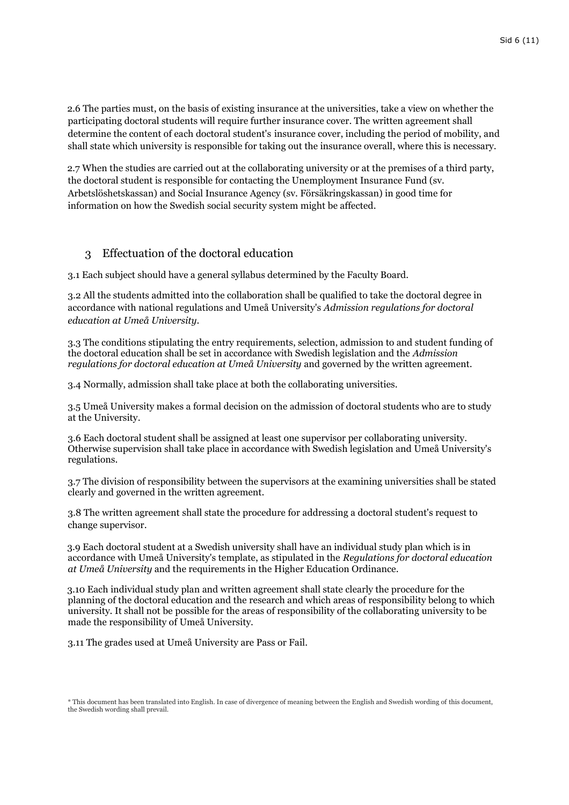2.6 The parties must, on the basis of existing insurance at the universities, take a view on whether the participating doctoral students will require further insurance cover. The written agreement shall determine the content of each doctoral student's insurance cover, including the period of mobility, and shall state which university is responsible for taking out the insurance overall, where this is necessary.

2.7 When the studies are carried out at the collaborating university or at the premises of a third party, the doctoral student is responsible for contacting the Unemployment Insurance Fund (sv. Arbetslöshetskassan) and Social Insurance Agency (sv. Försäkringskassan) in good time for information on how the Swedish social security system might be affected.

### 3 Effectuation of the doctoral education

3.1 Each subject should have a general syllabus determined by the Faculty Board.

3.2 All the students admitted into the collaboration shall be qualified to take the doctoral degree in accordance with national regulations and Umeå University's *Admission regulations for doctoral education at Umeå University*.

3.3 The conditions stipulating the entry requirements, selection, admission to and student funding of the doctoral education shall be set in accordance with Swedish legislation and the *Admission regulations for doctoral education at Umeå University* and governed by the written agreement.

3.4 Normally, admission shall take place at both the collaborating universities.

3.5 Umeå University makes a formal decision on the admission of doctoral students who are to study at the University.

3.6 Each doctoral student shall be assigned at least one supervisor per collaborating university. Otherwise supervision shall take place in accordance with Swedish legislation and Umeå University's regulations.

3.7 The division of responsibility between the supervisors at the examining universities shall be stated clearly and governed in the written agreement.

3.8 The written agreement shall state the procedure for addressing a doctoral student's request to change supervisor.

3.9 Each doctoral student at a Swedish university shall have an individual study plan which is in accordance with Umeå University's template, as stipulated in the *Regulations for doctoral education at Umeå University* and the requirements in the Higher Education Ordinance.

3.10 Each individual study plan and written agreement shall state clearly the procedure for the planning of the doctoral education and the research and which areas of responsibility belong to which university. It shall not be possible for the areas of responsibility of the collaborating university to be made the responsibility of Umeå University.

3.11 The grades used at Umeå University are Pass or Fail.

<sup>\*</sup> This document has been translated into English. In case of divergence of meaning between the English and Swedish wording of this document, the Swedish wording shall prevail.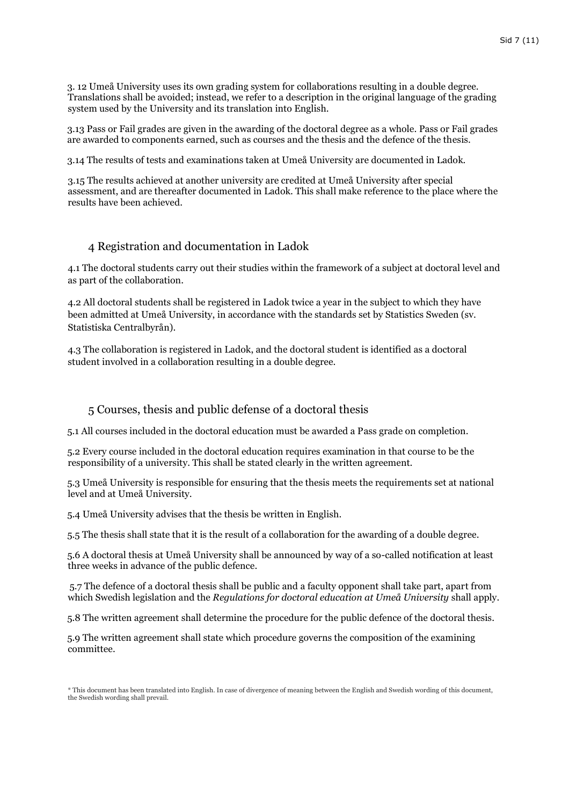3. 12 Umeå University uses its own grading system for collaborations resulting in a double degree. Translations shall be avoided; instead, we refer to a description in the original language of the grading system used by the University and its translation into English.

3.13 Pass or Fail grades are given in the awarding of the doctoral degree as a whole. Pass or Fail grades are awarded to components earned, such as courses and the thesis and the defence of the thesis.

3.14 The results of tests and examinations taken at Umeå University are documented in Ladok.

3.15 The results achieved at another university are credited at Umeå University after special assessment, and are thereafter documented in Ladok. This shall make reference to the place where the results have been achieved.

### 4 Registration and documentation in Ladok

4.1 The doctoral students carry out their studies within the framework of a subject at doctoral level and as part of the collaboration.

4.2 All doctoral students shall be registered in Ladok twice a year in the subject to which they have been admitted at Umeå University, in accordance with the standards set by Statistics Sweden (sv. Statistiska Centralbyrån).

4.3 The collaboration is registered in Ladok, and the doctoral student is identified as a doctoral student involved in a collaboration resulting in a double degree.

#### 5 Courses, thesis and public defense of a doctoral thesis

5.1 All courses included in the doctoral education must be awarded a Pass grade on completion.

5.2 Every course included in the doctoral education requires examination in that course to be the responsibility of a university. This shall be stated clearly in the written agreement.

5.3 Umeå University is responsible for ensuring that the thesis meets the requirements set at national level and at Umeå University.

5.4 Umeå University advises that the thesis be written in English.

5.5 The thesis shall state that it is the result of a collaboration for the awarding of a double degree.

5.6 A doctoral thesis at Umeå University shall be announced by way of a so-called notification at least three weeks in advance of the public defence.

5.7 The defence of a doctoral thesis shall be public and a faculty opponent shall take part, apart from which Swedish legislation and the *Regulations for doctoral education at Umeå University* shall apply.

5.8 The written agreement shall determine the procedure for the public defence of the doctoral thesis.

5.9 The written agreement shall state which procedure governs the composition of the examining committee.

<sup>\*</sup> This document has been translated into English. In case of divergence of meaning between the English and Swedish wording of this document, the Swedish wording shall prevail.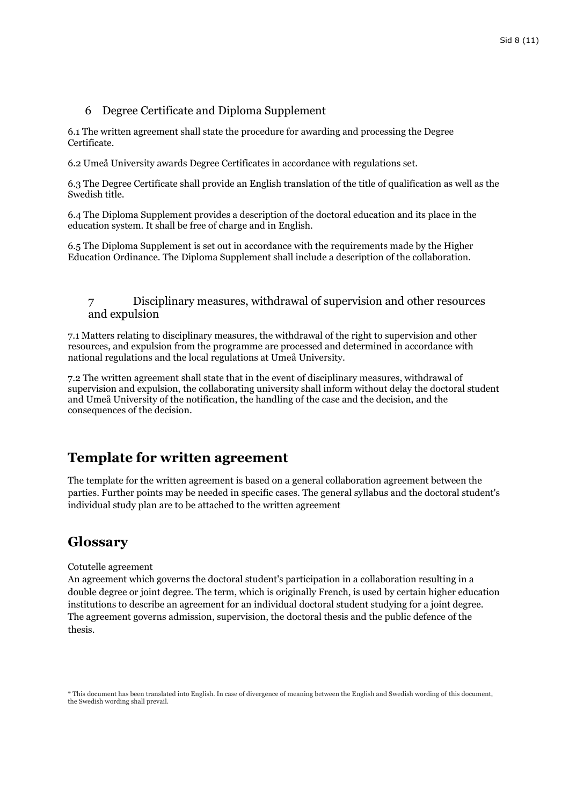### 6 Degree Certificate and Diploma Supplement

6.1 The written agreement shall state the procedure for awarding and processing the Degree Certificate.

6.2 Umeå University awards Degree Certificates in accordance with regulations set.

6.3 The Degree Certificate shall provide an English translation of the title of qualification as well as the Swedish title.

6.4 The Diploma Supplement provides a description of the doctoral education and its place in the education system. It shall be free of charge and in English.

6.5 The Diploma Supplement is set out in accordance with the requirements made by the Higher Education Ordinance. The Diploma Supplement shall include a description of the collaboration.

7 Disciplinary measures, withdrawal of supervision and other resources and expulsion

7.1 Matters relating to disciplinary measures, the withdrawal of the right to supervision and other resources, and expulsion from the programme are processed and determined in accordance with national regulations and the local regulations at Umeå University.

7.2 The written agreement shall state that in the event of disciplinary measures, withdrawal of supervision and expulsion, the collaborating university shall inform without delay the doctoral student and Umeå University of the notification, the handling of the case and the decision, and the consequences of the decision.

## **Template for written agreement**

The template for the written agreement is based on a general collaboration agreement between the parties. Further points may be needed in specific cases. The general syllabus and the doctoral student's individual study plan are to be attached to the written agreement

## **Glossary**

Cotutelle agreement

An agreement which governs the doctoral student's participation in a collaboration resulting in a double degree or joint degree. The term, which is originally French, is used by certain higher education institutions to describe an agreement for an individual doctoral student studying for a joint degree. The agreement governs admission, supervision, the doctoral thesis and the public defence of the thesis.

<sup>\*</sup> This document has been translated into English. In case of divergence of meaning between the English and Swedish wording of this document, the Swedish wording shall prevail.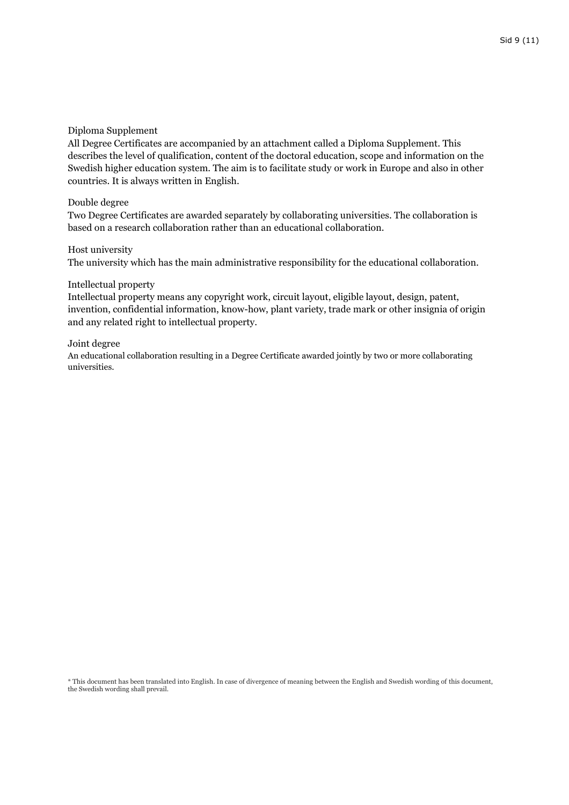#### Diploma Supplement

All Degree Certificates are accompanied by an attachment called a Diploma Supplement. This describes the level of qualification, content of the doctoral education, scope and information on the Swedish higher education system. The aim is to facilitate study or work in Europe and also in other countries. It is always written in English.

#### Double degree

Two Degree Certificates are awarded separately by collaborating universities. The collaboration is based on a research collaboration rather than an educational collaboration.

#### Host university

The university which has the main administrative responsibility for the educational collaboration.

#### Intellectual property

Intellectual property means any copyright work, circuit layout, eligible layout, design, patent, invention, confidential information, know-how, plant variety, trade mark or other insignia of origin and any related right to intellectual property.

#### Joint degree

An educational collaboration resulting in a Degree Certificate awarded jointly by two or more collaborating universities.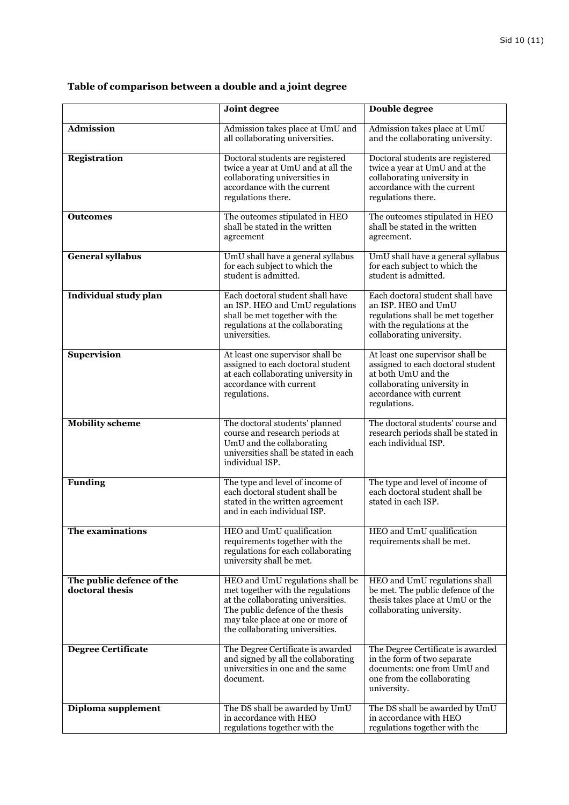|                                              | <b>Joint degree</b>                                                                                                                                                                                                    | <b>Double degree</b>                                                                                                                                                   |
|----------------------------------------------|------------------------------------------------------------------------------------------------------------------------------------------------------------------------------------------------------------------------|------------------------------------------------------------------------------------------------------------------------------------------------------------------------|
| <b>Admission</b>                             | Admission takes place at UmU and<br>all collaborating universities.                                                                                                                                                    | Admission takes place at UmU<br>and the collaborating university.                                                                                                      |
| Registration                                 | Doctoral students are registered<br>twice a year at UmU and at all the<br>collaborating universities in<br>accordance with the current<br>regulations there.                                                           | Doctoral students are registered<br>twice a year at UmU and at the<br>collaborating university in<br>accordance with the current<br>regulations there.                 |
| <b>Outcomes</b>                              | The outcomes stipulated in HEO<br>shall be stated in the written<br>agreement                                                                                                                                          | The outcomes stipulated in HEO<br>shall be stated in the written<br>agreement.                                                                                         |
| <b>General syllabus</b>                      | UmU shall have a general syllabus<br>for each subject to which the<br>student is admitted.                                                                                                                             | UmU shall have a general syllabus<br>for each subject to which the<br>student is admitted.                                                                             |
| Individual study plan                        | Each doctoral student shall have<br>an ISP. HEO and UmU regulations<br>shall be met together with the<br>regulations at the collaborating<br>universities.                                                             | Each doctoral student shall have<br>an ISP. HEO and UmU<br>regulations shall be met together<br>with the regulations at the<br>collaborating university.               |
| <b>Supervision</b>                           | At least one supervisor shall be<br>assigned to each doctoral student<br>at each collaborating university in<br>accordance with current<br>regulations.                                                                | At least one supervisor shall be<br>assigned to each doctoral student<br>at both UmU and the<br>collaborating university in<br>accordance with current<br>regulations. |
| <b>Mobility scheme</b>                       | The doctoral students' planned<br>course and research periods at<br>UmU and the collaborating<br>universities shall be stated in each<br>individual ISP.                                                               | The doctoral students' course and<br>research periods shall be stated in<br>each individual ISP.                                                                       |
| <b>Funding</b>                               | The type and level of income of<br>each doctoral student shall be<br>stated in the written agreement<br>and in each individual ISP.                                                                                    | The type and level of income of<br>each doctoral student shall be<br>stated in each ISP.                                                                               |
| The examinations                             | HEO and UmU qualification<br>requirements together with the<br>regulations for each collaborating<br>university shall be met.                                                                                          | HEO and UmU qualification<br>requirements shall be met.                                                                                                                |
| The public defence of the<br>doctoral thesis | HEO and UmU regulations shall be<br>met together with the regulations<br>at the collaborating universities.<br>The public defence of the thesis<br>may take place at one or more of<br>the collaborating universities. | HEO and UmU regulations shall<br>be met. The public defence of the<br>thesis takes place at UmU or the<br>collaborating university.                                    |
| <b>Degree Certificate</b>                    | The Degree Certificate is awarded<br>and signed by all the collaborating<br>universities in one and the same<br>document.                                                                                              | The Degree Certificate is awarded<br>in the form of two separate<br>documents: one from UmU and<br>one from the collaborating<br>university.                           |
| Diploma supplement                           | The DS shall be awarded by UmU<br>in accordance with HEO<br>regulations together with the                                                                                                                              | The DS shall be awarded by UmU<br>in accordance with HEO<br>regulations together with the                                                                              |

# **Table of comparison between a double and a joint degree**